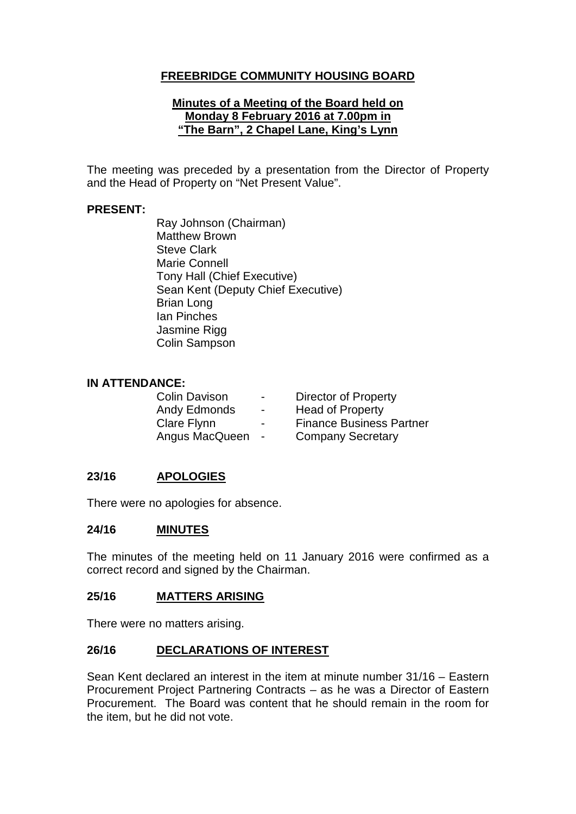# **FREEBRIDGE COMMUNITY HOUSING BOARD**

### **Minutes of a Meeting of the Board held on Monday 8 February 2016 at 7.00pm in "The Barn", 2 Chapel Lane, King's Lynn**

The meeting was preceded by a presentation from the Director of Property and the Head of Property on "Net Present Value".

### **PRESENT:**

Ray Johnson (Chairman) Matthew Brown Steve Clark Marie Connell Tony Hall (Chief Executive) Sean Kent (Deputy Chief Executive) Brian Long Ian Pinches Jasmine Rigg Colin Sampson

#### **IN ATTENDANCE:**

| <b>Colin Davison</b> | $\blacksquare$ | <b>Director of Property</b>     |
|----------------------|----------------|---------------------------------|
| Andy Edmonds         | $\blacksquare$ | <b>Head of Property</b>         |
| Clare Flynn          | $\blacksquare$ | <b>Finance Business Partner</b> |
| Angus MacQueen       | $\sim$         | <b>Company Secretary</b>        |

#### **23/16 APOLOGIES**

There were no apologies for absence.

#### **24/16 MINUTES**

The minutes of the meeting held on 11 January 2016 were confirmed as a correct record and signed by the Chairman.

#### **25/16 MATTERS ARISING**

There were no matters arising.

#### **26/16 DECLARATIONS OF INTEREST**

Sean Kent declared an interest in the item at minute number 31/16 – Eastern Procurement Project Partnering Contracts – as he was a Director of Eastern Procurement. The Board was content that he should remain in the room for the item, but he did not vote.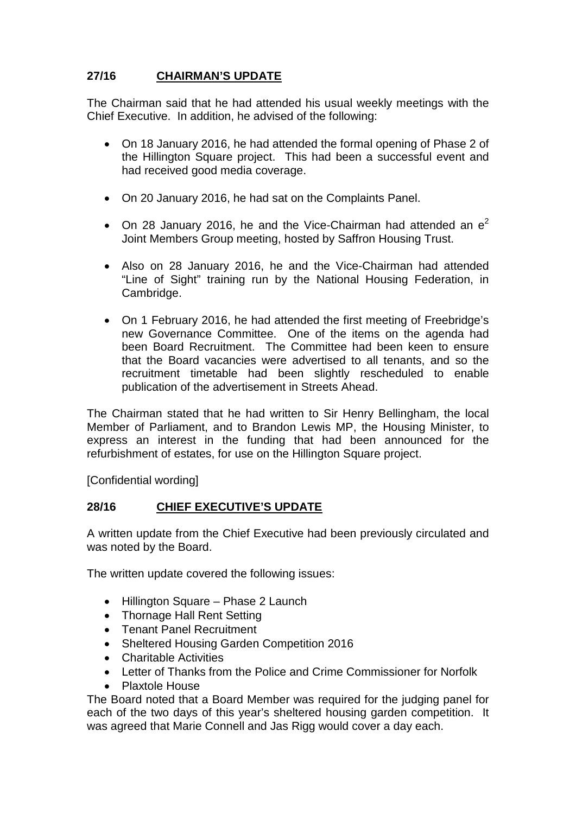# **27/16 CHAIRMAN'S UPDATE**

The Chairman said that he had attended his usual weekly meetings with the Chief Executive. In addition, he advised of the following:

- On 18 January 2016, he had attended the formal opening of Phase 2 of the Hillington Square project. This had been a successful event and had received good media coverage.
- On 20 January 2016, he had sat on the Complaints Panel.
- On 28 January 2016, he and the Vice-Chairman had attended an  $e^2$ Joint Members Group meeting, hosted by Saffron Housing Trust.
- Also on 28 January 2016, he and the Vice-Chairman had attended "Line of Sight" training run by the National Housing Federation, in Cambridge.
- On 1 February 2016, he had attended the first meeting of Freebridge's new Governance Committee. One of the items on the agenda had been Board Recruitment. The Committee had been keen to ensure that the Board vacancies were advertised to all tenants, and so the recruitment timetable had been slightly rescheduled to enable publication of the advertisement in Streets Ahead.

The Chairman stated that he had written to Sir Henry Bellingham, the local Member of Parliament, and to Brandon Lewis MP, the Housing Minister, to express an interest in the funding that had been announced for the refurbishment of estates, for use on the Hillington Square project.

[Confidential wording]

# **28/16 CHIEF EXECUTIVE'S UPDATE**

A written update from the Chief Executive had been previously circulated and was noted by the Board.

The written update covered the following issues:

- Hillington Square Phase 2 Launch
- Thornage Hall Rent Setting
- Tenant Panel Recruitment
- Sheltered Housing Garden Competition 2016
- Charitable Activities
- Letter of Thanks from the Police and Crime Commissioner for Norfolk
- Plaxtole House

The Board noted that a Board Member was required for the judging panel for each of the two days of this year's sheltered housing garden competition. It was agreed that Marie Connell and Jas Rigg would cover a day each.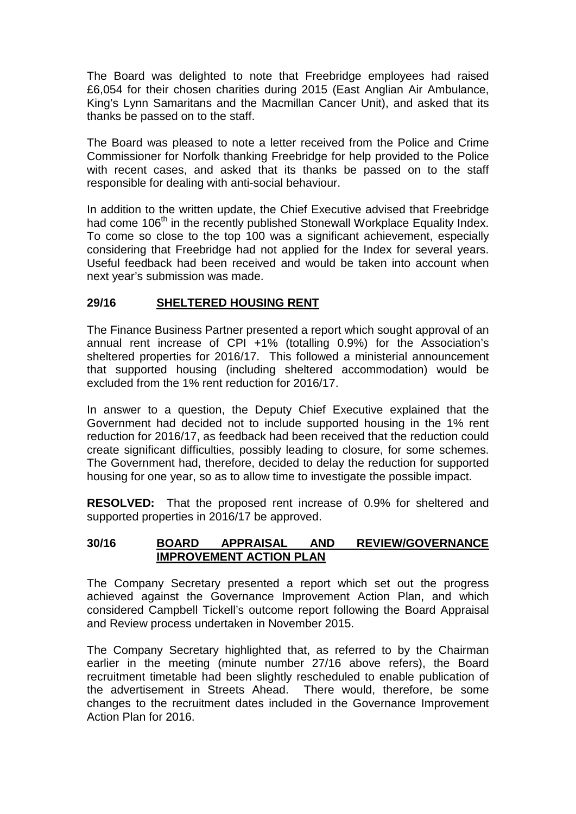The Board was delighted to note that Freebridge employees had raised £6,054 for their chosen charities during 2015 (East Anglian Air Ambulance, King's Lynn Samaritans and the Macmillan Cancer Unit), and asked that its thanks be passed on to the staff.

The Board was pleased to note a letter received from the Police and Crime Commissioner for Norfolk thanking Freebridge for help provided to the Police with recent cases, and asked that its thanks be passed on to the staff responsible for dealing with anti-social behaviour.

In addition to the written update, the Chief Executive advised that Freebridge had come 106<sup>th</sup> in the recently published Stonewall Workplace Equality Index. To come so close to the top 100 was a significant achievement, especially considering that Freebridge had not applied for the Index for several years. Useful feedback had been received and would be taken into account when next year's submission was made.

# **29/16 SHELTERED HOUSING RENT**

The Finance Business Partner presented a report which sought approval of an annual rent increase of CPI +1% (totalling 0.9%) for the Association's sheltered properties for 2016/17. This followed a ministerial announcement that supported housing (including sheltered accommodation) would be excluded from the 1% rent reduction for 2016/17.

In answer to a question, the Deputy Chief Executive explained that the Government had decided not to include supported housing in the 1% rent reduction for 2016/17, as feedback had been received that the reduction could create significant difficulties, possibly leading to closure, for some schemes. The Government had, therefore, decided to delay the reduction for supported housing for one year, so as to allow time to investigate the possible impact.

**RESOLVED:** That the proposed rent increase of 0.9% for sheltered and supported properties in 2016/17 be approved.

### **30/16 BOARD APPRAISAL AND REVIEW/GOVERNANCE IMPROVEMENT ACTION PLAN**

The Company Secretary presented a report which set out the progress achieved against the Governance Improvement Action Plan, and which considered Campbell Tickell's outcome report following the Board Appraisal and Review process undertaken in November 2015.

The Company Secretary highlighted that, as referred to by the Chairman earlier in the meeting (minute number 27/16 above refers), the Board recruitment timetable had been slightly rescheduled to enable publication of the advertisement in Streets Ahead. There would, therefore, be some changes to the recruitment dates included in the Governance Improvement Action Plan for 2016.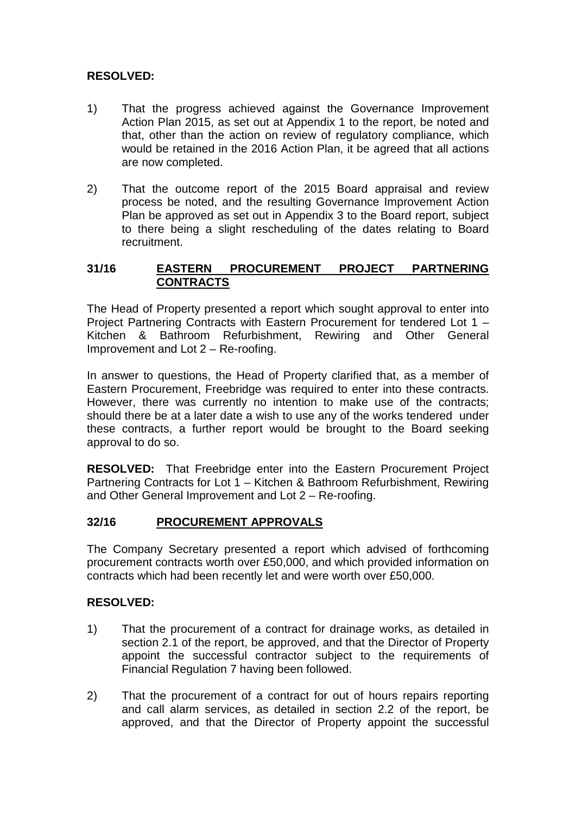# **RESOLVED:**

- 1) That the progress achieved against the Governance Improvement Action Plan 2015, as set out at Appendix 1 to the report, be noted and that, other than the action on review of regulatory compliance, which would be retained in the 2016 Action Plan, it be agreed that all actions are now completed.
- 2) That the outcome report of the 2015 Board appraisal and review process be noted, and the resulting Governance Improvement Action Plan be approved as set out in Appendix 3 to the Board report, subject to there being a slight rescheduling of the dates relating to Board recruitment.

# **31/16 EASTERN PROCUREMENT PROJECT PARTNERING CONTRACTS**

The Head of Property presented a report which sought approval to enter into Project Partnering Contracts with Eastern Procurement for tendered Lot 1 – Kitchen & Bathroom Refurbishment, Rewiring and Other General Improvement and Lot 2 – Re-roofing.

In answer to questions, the Head of Property clarified that, as a member of Eastern Procurement, Freebridge was required to enter into these contracts. However, there was currently no intention to make use of the contracts; should there be at a later date a wish to use any of the works tendered under these contracts, a further report would be brought to the Board seeking approval to do so.

**RESOLVED:** That Freebridge enter into the Eastern Procurement Project Partnering Contracts for Lot 1 – Kitchen & Bathroom Refurbishment, Rewiring and Other General Improvement and Lot 2 – Re-roofing.

# **32/16 PROCUREMENT APPROVALS**

The Company Secretary presented a report which advised of forthcoming procurement contracts worth over £50,000, and which provided information on contracts which had been recently let and were worth over £50,000.

# **RESOLVED:**

- 1) That the procurement of a contract for drainage works, as detailed in section 2.1 of the report, be approved, and that the Director of Property appoint the successful contractor subject to the requirements of Financial Regulation 7 having been followed.
- 2) That the procurement of a contract for out of hours repairs reporting and call alarm services, as detailed in section 2.2 of the report, be approved, and that the Director of Property appoint the successful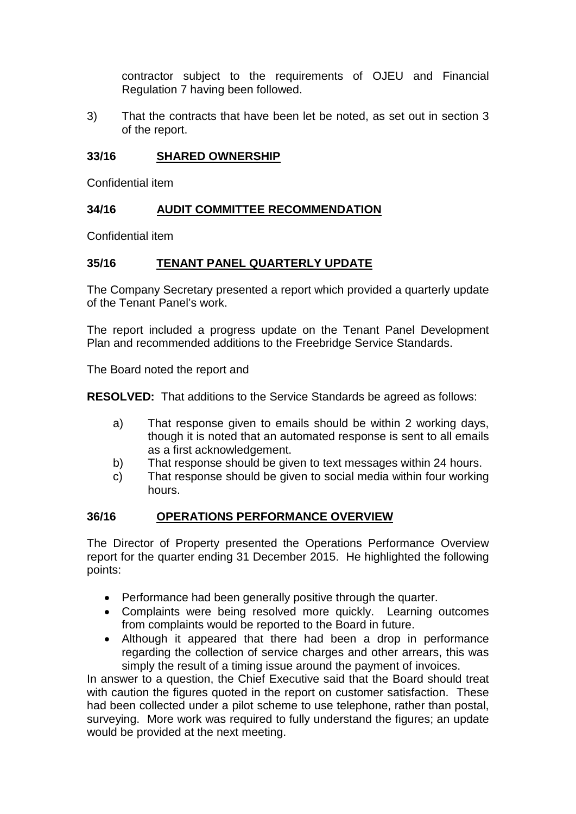contractor subject to the requirements of OJEU and Financial Regulation 7 having been followed.

3) That the contracts that have been let be noted, as set out in section 3 of the report.

### **33/16 SHARED OWNERSHIP**

Confidential item

# **34/16 AUDIT COMMITTEE RECOMMENDATION**

Confidential item

# **35/16 TENANT PANEL QUARTERLY UPDATE**

The Company Secretary presented a report which provided a quarterly update of the Tenant Panel's work.

The report included a progress update on the Tenant Panel Development Plan and recommended additions to the Freebridge Service Standards.

The Board noted the report and

**RESOLVED:** That additions to the Service Standards be agreed as follows:

- a) That response given to emails should be within 2 working days, though it is noted that an automated response is sent to all emails as a first acknowledgement.
- b) That response should be given to text messages within 24 hours.
- c) That response should be given to social media within four working hours.

# **36/16 OPERATIONS PERFORMANCE OVERVIEW**

The Director of Property presented the Operations Performance Overview report for the quarter ending 31 December 2015. He highlighted the following points:

- Performance had been generally positive through the quarter.
- Complaints were being resolved more quickly. Learning outcomes from complaints would be reported to the Board in future.
- Although it appeared that there had been a drop in performance regarding the collection of service charges and other arrears, this was simply the result of a timing issue around the payment of invoices.

In answer to a question, the Chief Executive said that the Board should treat with caution the figures quoted in the report on customer satisfaction. These had been collected under a pilot scheme to use telephone, rather than postal, surveying. More work was required to fully understand the figures; an update would be provided at the next meeting.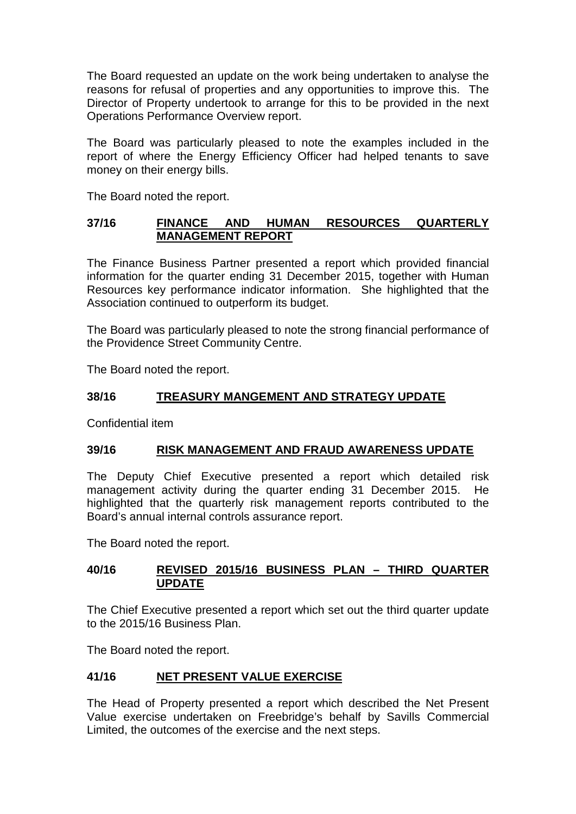The Board requested an update on the work being undertaken to analyse the reasons for refusal of properties and any opportunities to improve this. The Director of Property undertook to arrange for this to be provided in the next Operations Performance Overview report.

The Board was particularly pleased to note the examples included in the report of where the Energy Efficiency Officer had helped tenants to save money on their energy bills.

The Board noted the report.

# **37/16 FINANCE AND HUMAN RESOURCES QUARTERLY MANAGEMENT REPORT**

The Finance Business Partner presented a report which provided financial information for the quarter ending 31 December 2015, together with Human Resources key performance indicator information. She highlighted that the Association continued to outperform its budget.

The Board was particularly pleased to note the strong financial performance of the Providence Street Community Centre.

The Board noted the report.

# **38/16 TREASURY MANGEMENT AND STRATEGY UPDATE**

Confidential item

# **39/16 RISK MANAGEMENT AND FRAUD AWARENESS UPDATE**

The Deputy Chief Executive presented a report which detailed risk management activity during the quarter ending 31 December 2015. He highlighted that the quarterly risk management reports contributed to the Board's annual internal controls assurance report.

The Board noted the report.

# **40/16 REVISED 2015/16 BUSINESS PLAN – THIRD QUARTER UPDATE**

The Chief Executive presented a report which set out the third quarter update to the 2015/16 Business Plan.

The Board noted the report.

# **41/16 NET PRESENT VALUE EXERCISE**

The Head of Property presented a report which described the Net Present Value exercise undertaken on Freebridge's behalf by Savills Commercial Limited, the outcomes of the exercise and the next steps.